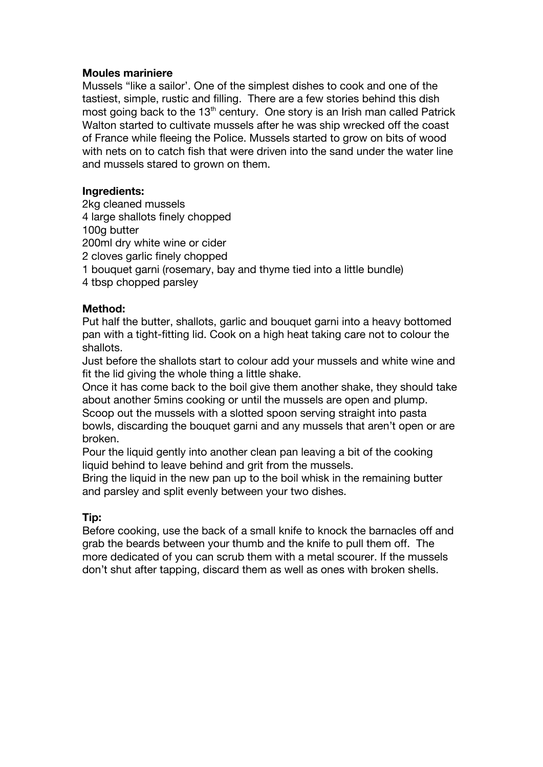## **Moules mariniere**

Mussels "like a sailor'. One of the simplest dishes to cook and one of the tastiest, simple, rustic and filling. There are a few stories behind this dish most going back to the 13<sup>th</sup> century. One story is an Irish man called Patrick Walton started to cultivate mussels after he was ship wrecked off the coast of France while fleeing the Police. Mussels started to grow on bits of wood with nets on to catch fish that were driven into the sand under the water line and mussels stared to grown on them.

## **Ingredients:**

2kg cleaned mussels 4 large shallots finely chopped 100g butter 200ml dry white wine or cider 2 cloves garlic finely chopped 1 bouquet garni (rosemary, bay and thyme tied into a little bundle) 4 tbsp chopped parsley

## **Method:**

Put half the butter, shallots, garlic and bouquet garni into a heavy bottomed pan with a tight-fitting lid. Cook on a high heat taking care not to colour the shallots.

Just before the shallots start to colour add your mussels and white wine and fit the lid giving the whole thing a little shake.

Once it has come back to the boil give them another shake, they should take about another 5mins cooking or until the mussels are open and plump. Scoop out the mussels with a slotted spoon serving straight into pasta bowls, discarding the bouquet garni and any mussels that aren't open or are broken.

Pour the liquid gently into another clean pan leaving a bit of the cooking liquid behind to leave behind and grit from the mussels.

Bring the liquid in the new pan up to the boil whisk in the remaining butter and parsley and split evenly between your two dishes.

## **Tip:**

Before cooking, use the back of a small knife to knock the barnacles off and grab the beards between your thumb and the knife to pull them off. The more dedicated of you can scrub them with a metal scourer. If the mussels don't shut after tapping, discard them as well as ones with broken shells.